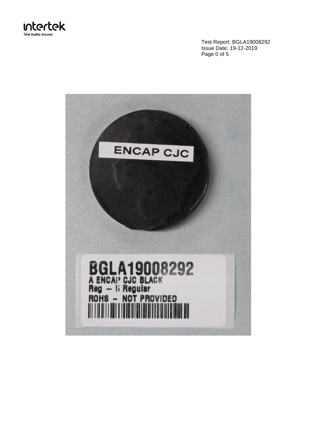

Test Report: BGLA19008292 Issue Date: 19-12-2019 Page 0 of 5

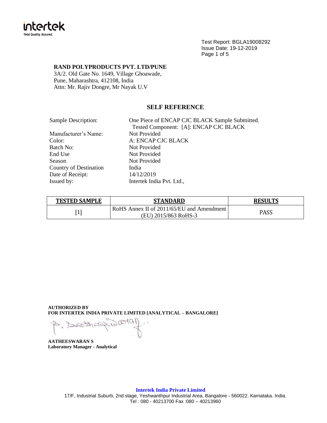

Test Report: BGLA19008292 Issue Date: 19-12-2019 Page 1 of 5

## **RAND POLYPRODUCTS PVT. LTD/PUNE**

3A/2. Old Gate No. 1649, Village Ghoawade, Pune, Maharashtra, 412108, India Attn: Mr. Rajiv Dongre, Mr Nayak U.V

# **SELF REFERENCE**

| <b>Sample Description:</b> | One Piece of ENCAP CJC BLACK Sample Submitted.<br>Tested Component: [A]: ENCAP CJC BLACK |
|----------------------------|------------------------------------------------------------------------------------------|
| Manufacturer's Name:       | Not Provided                                                                             |
|                            |                                                                                          |
| Color:                     | A: ENCAP CJC BLACK                                                                       |
| Batch No:                  | Not Provided                                                                             |
| End Use                    | Not Provided                                                                             |
| <b>Season</b>              | Not Provided                                                                             |
| Country of Destination     | India                                                                                    |
| Date of Receipt:           | 14/12/2019                                                                               |
| Issued by:                 | Intertek India Pvt. Ltd.,                                                                |
|                            |                                                                                          |

| <b>TESTED SAMPLE</b> | <b>STANDARD</b>                                                   | <b>RESULTS</b> |
|----------------------|-------------------------------------------------------------------|----------------|
| Г1 <sup>-</sup>      | RoHS Annex II of 2011/65/EU and Amendment<br>(EU) 2015/863 RoHS-3 | <b>PASS</b>    |

**AUTHORIZED BY FOR INTERTEK INDIA PRIVATE LIMITED [ANALYTICAL – BANGALORE]**

 $10/20$  $\mathbb{R}^3$ 

**AATHEESWARAN S Laboratory Manager - Analytical**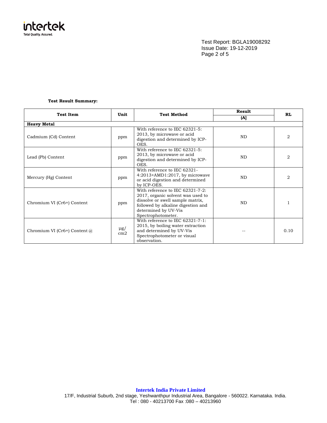

Test Report: BGLA19008292 Issue Date: 19-12-2019 Page 2 of 5

#### **Test Result Summary:**

| <b>Test Item</b>             | Unit            | <b>Test Method</b>                                                                                                                                                                            | Result    | <b>RL</b>      |  |  |  |
|------------------------------|-----------------|-----------------------------------------------------------------------------------------------------------------------------------------------------------------------------------------------|-----------|----------------|--|--|--|
|                              |                 |                                                                                                                                                                                               | [A]       |                |  |  |  |
| <b>Heavy Metal</b>           |                 |                                                                                                                                                                                               |           |                |  |  |  |
| Cadmium (Cd) Content         | ppm             | With reference to IEC 62321-5:<br>2013, by microwave or acid<br>digestion and determined by ICP-<br>OES.                                                                                      | ND.       | $\overline{2}$ |  |  |  |
| Lead (Pb) Content            | ppm             | With reference to IEC 62321-5:<br>2013, by microwave or acid<br>digestion and determined by ICP-<br>OES.                                                                                      | <b>ND</b> | 2              |  |  |  |
| Mercury (Hg) Content         | ppm             | With reference to IEC 62321-<br>$4:2013+AMD1:2017$ , by microwave<br>or acid digestion and determined<br>by ICP-OES.                                                                          | <b>ND</b> | 2              |  |  |  |
| Chromium VI (Cr6+) Content   | ppm             | With reference to IEC 62321-7-2:<br>2017, organic solvent was used to<br>dissolve or swell sample matrix,<br>followed by alkaline digestion and<br>determined by UV-Vis<br>Spectrophotometer. | <b>ND</b> |                |  |  |  |
| Chromium VI (Cr6+) Content @ | $\mu$ g/<br>cm2 | With reference to IEC 62321-7-1:<br>2015, by boiling water extraction<br>and determined by UV-Vis<br>Spectrophotometer or visual<br>observation.                                              |           | 0.10           |  |  |  |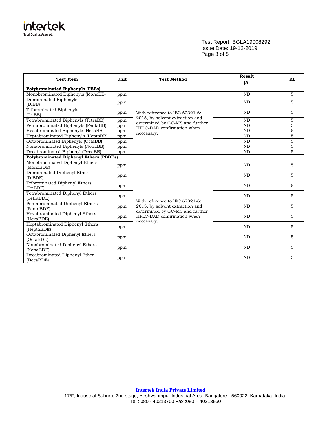

Test Report: BGLA19008292 Issue Date: 19-12-2019 Page 3 of 5

| <b>Test Item</b>                              | Unit | <b>Test Method</b>                                                | Result    | RL             |  |  |  |
|-----------------------------------------------|------|-------------------------------------------------------------------|-----------|----------------|--|--|--|
|                                               |      |                                                                   | (A)       |                |  |  |  |
| <b>Polybrominated Biphenyls (PBBs)</b>        |      |                                                                   |           |                |  |  |  |
| Monobrominated Biphenyls (MonoBB)             | ppm  |                                                                   | <b>ND</b> | 5              |  |  |  |
| Dibrominated Biphenyls<br>(DiBB)              | ppm  |                                                                   | <b>ND</b> | 5              |  |  |  |
| <b>Tribrominated Biphenyls</b><br>(TriBB)     | ppm  | With reference to IEC 62321-6:                                    | <b>ND</b> | 5              |  |  |  |
| Tetrabrominated Biphenyls (TetraBB)           | ppm  | 2015, by solvent extraction and                                   | <b>ND</b> | 5              |  |  |  |
| Pentabrominated Biphenyls (PentaBB)           | ppm  | determined by GC-MS and further<br>HPLC-DAD confirmation when     | <b>ND</b> | 5              |  |  |  |
| Hexabrominated Biphenyls (HexaBB)             | ppm  | necessary.                                                        | ND        | 5              |  |  |  |
| Heptabrominated Biphenyls (HeptaBB)           | ppm  |                                                                   | <b>ND</b> | 5              |  |  |  |
| Octabrominated Biphenyls (OctaBB)             | ppm  |                                                                   | ND        | 5              |  |  |  |
| Nonabrominated Biphenyls (NonaBB)             | ppm  |                                                                   | <b>ND</b> | $\overline{5}$ |  |  |  |
| Decabrominated Biphenyl (DecaBB)              | ppm  |                                                                   | <b>ND</b> | 5              |  |  |  |
| <b>Polybrominated Diphenyl Ethers (PBDEs)</b> |      |                                                                   |           |                |  |  |  |
| Monobrominated Diphenyl Ethers<br>(MonoBDE)   | ppm  |                                                                   | ND        | 5              |  |  |  |
| Dibrominated Diphenyl Ethers<br>(DiBDE)       | ppm  |                                                                   | <b>ND</b> | 5              |  |  |  |
| Tribrominated Diphenyl Ethers<br>(TriBDE)     | ppm  |                                                                   | <b>ND</b> | 5              |  |  |  |
| Tetrabrominated Diphenyl Ethers<br>(TetraBDE) | ppm  |                                                                   | <b>ND</b> | 5              |  |  |  |
| Pentabrominated Diphenyl Ethers<br>(PentaBDE) | ppm  | With reference to IEC 62321-6:<br>2015, by solvent extraction and | <b>ND</b> | 5              |  |  |  |
| Hexabrominated Diphenyl Ethers<br>(HexaBDE)   | ppm  | determined by GC-MS and further<br>HPLC-DAD confirmation when     | <b>ND</b> | 5              |  |  |  |
| Heptabrominated Diphenyl Ethers<br>(HeptaBDE) | ppm  | necessary.                                                        | <b>ND</b> | 5              |  |  |  |
| Octabrominated Diphenyl Ethers<br>(OctaBDE)   | ppm  |                                                                   | <b>ND</b> | 5              |  |  |  |
| Nonabrominated Diphenyl Ethers<br>(NonaBDE)   | ppm  |                                                                   | <b>ND</b> | 5              |  |  |  |
| Decabrominated Diphenyl Ether<br>(DecaBDE)    | ppm  |                                                                   | ND        | 5              |  |  |  |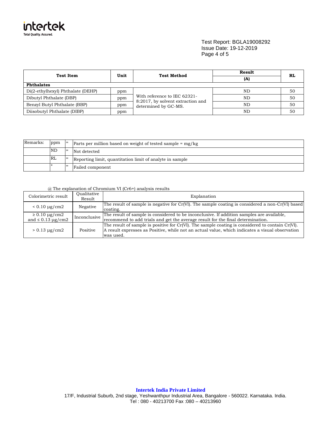

## Test Report: BGLA19008292 Issue Date: 19-12-2019 Page 4 of 5

| <b>Test Item</b>                  | Unit | <b>Test Method</b>                                                | Result | RL |  |  |
|-----------------------------------|------|-------------------------------------------------------------------|--------|----|--|--|
|                                   |      |                                                                   | (A)    |    |  |  |
| <b>Phthalates</b>                 |      |                                                                   |        |    |  |  |
| Di(2-ethylhexyl) Phthalate (DEHP) | ppm  |                                                                   | ND     | 50 |  |  |
| Dibutyl Phthalate (DBP)           | ppm  | With reference to IEC 62321-<br>8:2017, by solvent extraction and | ND     | 50 |  |  |
| Benzyl Butyl Phthalate (BBP)      | ppm  | determined by GC-MS.                                              | ND     | 50 |  |  |
| Diisobutyl Phthalate (DIBP)       | ppm  |                                                                   | ND     | 50 |  |  |

| Remarks: | ppm | $l =$ | Parts per million based on weight of tested sample $=$ mg/kg |  |
|----------|-----|-------|--------------------------------------------------------------|--|
|          | ND  | $=$   | Not detected                                                 |  |
|          | RL  | $=$   | Reporting limit, quantitation limit of analyte in sample     |  |
|          |     | $=$   | Failed component                                             |  |

#### @ The explanation of Chromium VI (Cr6+) analysis results

| Colorimetric result                                        | Oualitative<br>Result | Explanation                                                                                                                                                                                                      |
|------------------------------------------------------------|-----------------------|------------------------------------------------------------------------------------------------------------------------------------------------------------------------------------------------------------------|
| $< 0.10 \mu g/cm2$                                         | Negative              | The result of sample is negative for $Cr(VI)$ . The sample coating is considered a non- $Cr(VI)$ based<br>coating.                                                                                               |
| $\geq 0.10 \,\mathrm{µg/cm2}$<br>and $\leq 0.13 \mu$ g/cm2 | Inconclusive          | The result of sample is considered to be inconclusive. If addition samples are available,<br>recommend to add trials and get the average result for the final determination.                                     |
| $> 0.13 \mu g/cm2$                                         | Positive              | The result of sample is positive for Cr(VI). The sample coating is considered to contain Cr(VI).<br>A result expresses as Positive, while not an actual value, which indicates a visual observation<br>was used. |